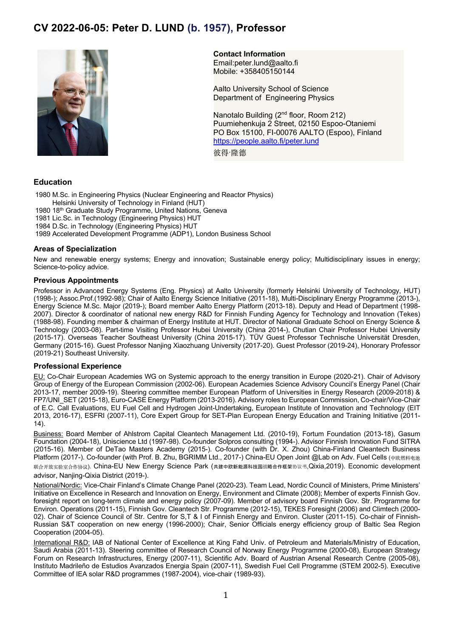# **CV 2022-06-05: Peter D. LUND (b. 1957), Professor**



**Contact Information**

Email:peter.lund@aalto.fi Mobile: +358405150144

Aalto University School of Science Department of Engineering Physics

Nanotalo Building (2<sup>nd</sup> floor, Room 212) Puumiehenkuja 2 Street, 02150 Espoo-Otaniemi PO Box 15100, FI-00076 AALTO (Espoo), Finland https://people.aalto.fi/peter.lund

彼得·隆德

# **Education**

1980 M.Sc. in Engineering Physics (Nuclear Engineering and Reactor Physics) Helsinki University of Technology in Finland (HUT) 1980 18th Graduate Study Programme, United Nations, Geneva 1981 Lic.Sc. in Technology (Engineering Physics) HUT 1984 D.Sc. in Technology (Engineering Physics) HUT 1989 Accelerated Development Programme (ADP1), London Business School

# **Areas of Specialization**

New and renewable energy systems; Energy and innovation; Sustainable energy policy; Multidisciplinary issues in energy; Science-to-policy advice.

## **Previous Appointments**

Professor in Advanced Energy Systems (Eng. Physics) at Aalto University (formerly Helsinki University of Technology, HUT) (1998-); Assoc.Prof.(1992-98); Chair of Aalto Energy Science Initiative (2011-18), Multi-Disciplinary Energy Programme (2013-), Energy Science M.Sc. Major (2019-); Board member Aalto Energy Platform (2013-18). Deputy and Head of Department (1998- 2007). Director & coordinator of national new energy R&D for Finnish Funding Agency for Technology and Innovation (Tekes) (1988-98). Founding member & chairman of Energy Institute at HUT. Director of National Graduate School on Energy Science & Technology (2003-08). Part-time Visiting Professor Hubei University (China 2014-), Chutian Chair Professor Hubei University (2015-17). Overseas Teacher Southeast University (China 2015-17). TÜV Guest Professor Technische Universität Dresden, Germany (2015-16). Guest Professor Nanjing Xiaozhuang University (2017-20). Guest Professor (2019-24), Honorary Professor (2019-21) Southeast University.

## **Professional Experience**

EU: Co-Chair European Academies WG on Systemic approach to the energy transition in Europe (2020-21). Chair of Advisory Group of Energy of the European Commission (2002-06). European Academies Science Advisory Council's Energy Panel (Chair 2013-17, member 2009-19). Steering committee member European Platform of Universities in Energy Research (2009-2018) & FP7/UNI\_SET (2015-18), Euro-CASE Energy Platform (2013-2016). Advisory roles to European Commission, Co-chair/Vice-Chair of E.C. Call Evaluations, EU Fuel Cell and Hydrogen Joint-Undertaking, European Institute of Innovation and Technology (EIT 2013, 2016-17), ESFRI (2007-11), Core Expert Group for SET-Plan European Energy Education and Training Initiative (2011- 14).

Business: Board Member of Ahlstrom Capital Cleantech Management Ltd. (2010-19), Fortum Foundation (2013-18), Gasum Foundation (2004-18), Uniscience Ltd (1997-98). Co-founder Solpros consulting (1994-). Advisor Finnish Innovation Fund SITRA (2015-16). Member of DeTao Masters Academy (2015-). Co-founder (with Dr. X. Zhou) China-Finland Cleantech Business Platform (2017-). Co-founder (with Prof. B. Zhu, BGRIMM Ltd., 2017-) China-EU Open Joint @Lab on Adv. Fuel Cells (中欧燃料电池 联合开放实验室合作协议). China-EU New Energy Science Park (共建中欧新能源科技园战略合作框架协议书,Qixia,2019). Economic development advisor, Nanjing-Qixia District (2019-).

National/Nordic: Vice-Chair Finland's Climate Change Panel (2020-23). Team Lead, Nordic Council of Ministers, Prime Ministers' Initiative on Excellence in Research and Innovation on Energy, Environment and Climate (2008); Member of experts Finnish Gov. foresight report on long-term climate and energy policy (2007-09). Member of advisory board Finnish Gov. Str. Programme for Environ. Operations (2011-15), Finnish Gov. Cleantech Str. Programme (2012-15), TEKES Foresight (2006) and Climtech (2000- 02). Chair of Science Council of Str. Centre for S,T & I of Finnish Energy and Environ. Cluster (2011-15). Co-chair of Finnish-Russian S&T cooperation on new energy (1996-2000); Chair, Senior Officials energy efficiency group of Baltic Sea Region Cooperation (2004-05).

International R&D: IAB of National Center of Excellence at King Fahd Univ. of Petroleum and Materials/Ministry of Education, Saudi Arabia (2011-13). Steering committee of Research Council of Norway Energy Programme (2000-08), European Strategy Forum on Research Infrastructures, Energy (2007-11), Scientific Adv. Board of Austrian Arsenal Research Centre (2005-08), Instituto Madrileño de Estudios Avanzados Energia Spain (2007-11), Swedish Fuel Cell Programme (STEM 2002-5). Executive Committee of IEA solar R&D programmes (1987-2004), vice-chair (1989-93).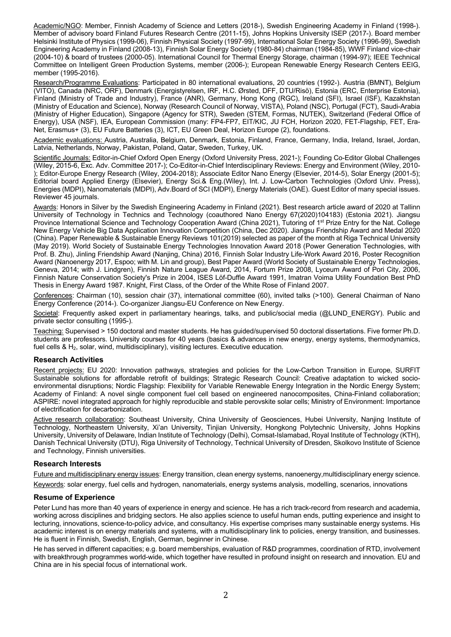Academic/NGO: Member, Finnish Academy of Science and Letters (2018-), Swedish Engineering Academy in Finland (1998-). Member of advisory board Finland Futures Research Centre (2011-15), Johns Hopkins University ISEP (2017-). Board member Helsinki Institute of Physics (1999-06), Finnish Physical Society (1997-99), International Solar Energy Society (1996-99), Swedish Engineering Academy in Finland (2008-13), Finnish Solar Energy Society (1980-84) chairman (1984-85), WWF Finland vice-chair (2004-10) & board of trustees (2000-05). International Council for Thermal Energy Storage, chairman (1994-97); IEEE Technical Committee on Intelligent Green Production Systems, member (2006-); European Renewable Energy Research Centers EEIG, member (1995-2016).

Research/Programme Evaluations: Participated in 80 international evaluations, 20 countries (1992-). Austria (BMNT), Belgium (VITO), Canada (NRC, ORF), Denmark (Energistyrelsen, IRF, H.C. Ørsted, DFF, DTU/Risö), Estonia (ERC, Enterprise Estonia), Finland (Ministry of Trade and Industry), France (ANR), Germany, Hong Kong (RGC), Ireland (SFI), Israel (ISF), Kazakhstan (Ministry of Education and Science), Norway (Research Council of Norway, VISTA), Poland (NSC), Portugal (FCT), Saudi-Arabia (Ministry of Higher Education), Singapore (Agency for STR), Sweden (STEM, Formas, NUTEK), Switzerland (Federal Office of Energy), USA (NSF), IEA, European Commission (many: FP4-FP7, EIT/KIC, JU FCH, Horizon 2020, FET-Flagship, FET, Era-Net, Erasmus+ (3), EU Future Batteries (3), ICT, EU Green Deal, Horizon Europe (2), foundations.

Academic evaluations: Austria, Australia, Belgium, Denmark, Estonia, Finland, France, Germany, India, Ireland, Israel, Jordan, Latvia, Netherlands, Norway, Pakistan, Poland, Qatar, Sweden, Turkey, UK.

Scientific Journals: Editor-in-Chief Oxford Open Energy (Oxford University Press, 2021-); Founding Co-Editor Global Challenges (Wiley, 2015-6, Exc. Adv. Committee 2017-); Co-Editor-in-Chief Interdisciplinary Reviews: Energy and Environment (Wiley, 2010- ); Editor-Europe Energy Research (Wiley, 2004-2018); Associate Editor Nano Energy (Elsevier, 2014-5), Solar Energy (2001-5); Editorial board Applied Energy (Elsevier), Energy Sci.& Eng.(Wiley), Int. J. Low-Carbon Technologies (Oxford Univ. Press), Energies (MDPI), Nanomaterials (MDPI), Adv.Board of SCI (MDPI), Energy Materials (OAE). Guest Editor of many special issues. Reviewer 45 journals.

Awards: Honors in Silver by the Swedish Engineering Academy in Finland (2021). Best research article award of 2020 at Tallinn University of Technology in Technics and Technology (coauthored Nano Energy 67(2020)104183) (Estonia 2021). Jiangsu Province International Science and Technology Cooperation Award (China 2021), Tutoring of 1<sup>st</sup> Prize Entry for the Nat. College New Energy Vehicle Big Data Application Innovation Competition (China, Dec 2020). Jiangsu Friendship Award and Medal 2020 (China). Paper Renewable & Sustainable Energy Reviews 101(2019) selected as paper of the month at Riga Technical University (May 2019). World Society of Sustainable Energy Technologies Innovation Award 2018 (Power Generation Technologies, with Prof. B. Zhu), Jinling Friendship Award (Nanjing, China) 2016, Finnish Solar Industry Life-Work Award 2016, Poster Recognition Award (Nanoenergy 2017, Espoo; with M. Lin and group), Best Paper Award (World Society of Sustainable Energy Technologies, Geneva, 2014; with J. Lindgren), Finnish Nature League Award, 2014, Fortum Prize 2008, Lyceum Award of Pori City, 2006, Finnish Nature Conservation Society's Prize in 2004, ISES Löf-Duffie Award 1991, Imatran Voima Utility Foundation Best PhD Thesis in Energy Award 1987. Knight, First Class, of the Order of the White Rose of Finland 2007.

Conferences: Chairman (10), session chair (37), international committee (60), invited talks (>100). General Chairman of Nano Energy Conference (2014-). Co-organizer Jiangsu-EU Conference on New Energy.

Societal: Frequently asked expert in parliamentary hearings, talks, and public/social media (@LUND\_ENERGY). Public and private sector consulting (1995-).

Teaching: Supervised > 150 doctoral and master students. He has guided/supervised 50 doctoral dissertations. Five former Ph.D. students are professors. University courses for 40 years (basics & advances in new energy, energy systems, thermodynamics, fuel cells & H<sub>2</sub>, solar, wind, multidisciplinary), visiting lectures. Executive education.

## **Research Activities**

Recent projects: EU 2020: Innovation pathways, strategies and policies for the Low-Carbon Transition in Europe, SURFIT Sustainable solutions for affordable retrofit of buildings; Strategic Research Council: Creative adaptation to wicked socioenvironmental disruptions; Nordic Flagship: Flexibility for Variable Renewable Energy Integration in the Nordic Energy System; Academy of Finland: A novel single component fuel cell based on engineered nanocomposites, China-Finland collaboration; ASPIRE: novel integrated approach for highly reproducible and stable perovskite solar cells; Ministry of Environment: Importance of electrification for decarbonization.

Active research collaboration: Southeast University, China University of Geosciences, Hubei University, Nanjing Institute of Technology, Northeastern University, Xi'an University, Tinjian University, Hongkong Polytechnic University, Johns Hopkins University, University of Delaware, Indian Institute of Technology (Delhi), Comsat-Islamabad, Royal Institute of Technology (KTH), Danish Technical University (DTU), Riga University of Technology, Technical University of Dresden, Skolkovo Institute of Science and Technology, Finnish universities.

#### **Research Interests**

Future and multidisciplinary energy issues: Energy transition, clean energy systems, nanoenergy,multidisciplinary energy science.

Keywords: solar energy, fuel cells and hydrogen, nanomaterials, energy systems analysis, modelling, scenarios, innovations

#### **Resume of Experience**

Peter Lund has more than 40 years of experience in energy and science. He has a rich track-record from research and academia, working across disciplines and bridging sectors. He also applies science to useful human ends, putting experience and insight to lecturing, innovations, science-to-policy advice, and consultancy. His expertise comprises many sustainable energy systems. His academic interest is on energy materials and systems, with a multidisciplinary link to policies, energy transition, and businesses. He is fluent in Finnish, Swedish, English, German, beginner in Chinese.

He has served in different capacities; e.g. board memberships, evaluation of R&D programmes, coordination of RTD, involvement with breakthrough programmes world-wide, which together have resulted in profound insight on research and innovation. EU and China are in his special focus of international work.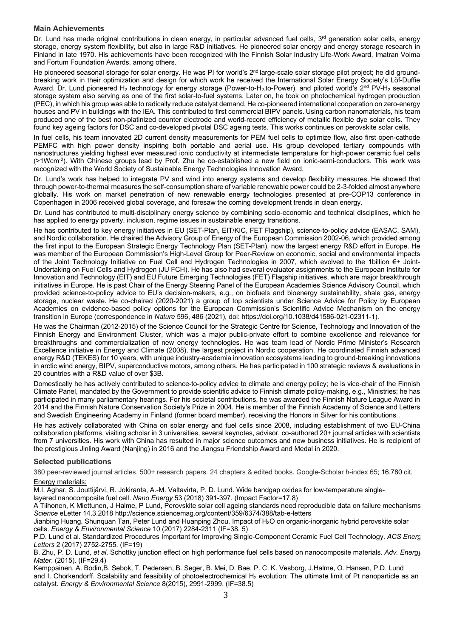## **Main Achievements**

Dr. Lund has made original contributions in clean energy, in particular advanced fuel cells,  $3<sup>rd</sup>$  generation solar cells, energy storage, energy system flexibility, but also in large R&D initiatives. He pioneered solar energy and energy storage research in Finland in late 1970. His achievements have been recognized with the Finnish Solar Industry Life-Work Award, Imatran Voima and Fortum Foundation Awards, among others.

He pioneered seasonal storage for solar energy. He was PI for world's 2<sup>nd</sup> large-scale solar storage pilot project; he did groundbreaking work in their optimization and design for which work he received the International Solar Energy Society's Löf-Duffie Award. Dr. Lund pioneered H<sub>2</sub> technology for energy storage (Power-to-H<sub>2</sub>-to-Power), and piloted world's 2<sup>nd</sup> PV-H<sub>2</sub> seasonal storage system also serving as one of the first solar-to-fuel systems. Later on, he took on photochemical hydrogen production (PEC), in which his group was able to radically reduce catalyst demand. He co-pioneered international cooperation on zero-energy houses and PV in buildings with the IEA. This contributed to first commercial BIPV panels. Using carbon nanomaterials, his team produced one of the best non-platinized counter electrode and world-record efficiency of metallic flexible dye solar cells. They found key ageing factors for DSC and co-developed pivotal DSC ageing tests. This works continues on perovskite solar cells.

In fuel cells, his team innovated 2D current density measurements for PEM fuel cells to optimize flow, also first open-cathode PEMFC with high power density inspiring both portable and aerial use. His group developed tertiary compounds with nanostructures yielding highest ever measured ionic conductivity at intermediate temperature for high-power ceramic fuel cells (>1Wcm-2). With Chinese groups lead by Prof. Zhu he co-established a new field on ionic-semi-conductors. This work was recognized with the World Society of Sustainable Energy Technologies Innovation Award.

Dr. Lund's work has helped to integrate PV and wind into energy systems and develop flexibility measures. He showed that through power-to-thermal measures the self-consumption share of variable renewable power could be 2-3-folded almost anywhere globally. His work on market penetration of new renewable energy technologies presented at pre-COP13 conference in Copenhagen in 2006 received global coverage, and foresaw the coming development trends in clean energy.

Dr. Lund has contributed to multi-disciplinary energy science by combining socio-economic and technical disciplines, which he has applied to energy poverty, inclusion, regime issues in sustainable energy transitions.

He has contributed to key energy initiatives in EU (SET-Plan, EIT/KIC, FET Flagship), science-to-policy advice (EASAC, SAM), and Nordic collaboration. He chaired the Advisory Group of Energy of the European Commission 2002-06, which provided among the first input to the European Strategic Energy Technology Plan (SET-Plan), now the largest energy R&D effort in Europe. He was member of the European Commission's High-Level Group for Peer-Review on economic, social and environmental impacts of the Joint Technology Initiative on Fuel Cell and Hydrogen Technologies in 2007, which evolved to the 1billion €+ Joint-Undertaking on Fuel Cells and Hydrogen (JU FCH). He has also had several evaluator assignments to the European Institute for Innovation and Technology (EIT) and EU Future Emerging Technologies (FET) Flagship initiatives, which are major breakthrough initiatives in Europe. He is past Chair of the Energy Steering Panel of the European Academies Science Advisory Council, which provided science-to-policy advice to EU's decision-makers, e.g., on biofuels and bioenergy sustainability, shale gas, energy storage, nuclear waste. He co-chaired (2020-2021) a group of top scientists under Science Advice for Policy by European Academies on evidence-based policy options for the European Commission's Scientific Advice Mechanism on the energy transition in Europe (correspondence in *Nature* 596, 486 (2021), doi: https://doi.org/10.1038/d41586-021-02311-1).

He was the Chairman (2012-2015) of the Science Council for the Strategic Centre for Science, Technology and Innovation of the Finnish Energy and Environment Cluster, which was a major public-private effort to combine excellence and relevance for breakthroughs and commercialization of new energy technologies. He was team lead of Nordic Prime Minister's Research Excellence initiative in Energy and Climate (2008), the largest project in Nordic cooperation. He coordinated Finnish advanced energy R&D (TEKES) for 10 years, with unique industry-academia innovation ecosystems leading to ground-breaking innovations in arctic wind energy, BIPV, superconductive motors, among others. He has participated in 100 strategic reviews & evaluations in 20 countries with a R&D value of over \$3B.

Domestically he has actively contributed to science-to-policy advice to climate and energy policy; he is vice-chair of the Finnish Climate Panel, mandated by the Government to provide scientific advice to Finnish climate policy-making, e.g., Ministries; he has participated in many parliamentary hearings. For his societal contributions, he was awarded the Finnish Nature League Award in 2014 and the Finnish Nature Conservation Society's Prize in 2004. He is member of the Finnish Academy of Science and Letters and Swedish Engineering Academy in Finland (former board member), receiving the Honors in Silver for his contibutions..

He has actively collaborated with China on solar energy and fuel cells since 2008, including establishment of two EU-China collaboration platforms, visiting scholar in 3 universities, several keynotes, advisor, co-authored 20+ journal articles with scientists from 7 universities. His work with China has resulted in major science outcomes and new business initiatives. He is recipient of the prestigious Jinling Award (Nanjing) in 2016 and the Jiangsu Friendship Award and Medal in 2020.

## **Selected publications**

380 peer-reviewed journal articles, 500+ research papers. 24 chapters & edited books. Google-Scholar h-index 65; 16,780 cit. Energy materials:

M.I. Aghar, S. Jouttijärvi, R. Jokiranta, A.-M. Valtavirta, P. D. Lund. Wide bandgap oxides for low-temperature single-

layered nanocomposite fuel cell. *Nano Energy* 53 (2018) 391-397. (Impact Factor=17.8)

A Tiihonen, K Miettunen, J Halme, P Lund, Perovskite solar cell ageing standards need reproducible data on failure mechanisms. *Science* eLetter 14.3.2018 http://science.sciencemag.org/content/359/6374/388/tab-e-letters

Jianbing Huang, Shunquan Tan, Peter Lund and Huanping Zhou. Impact of H2O on organic-inorganic hybrid perovskite solar cells. *Energy & Environmental Science* 10 (2017) 2284-2311 (IF=38. 5)

P.D. Lund et al. Standardized Procedures Important for Improving Single-Component Ceramic Fuel Cell Technology. *ACS Energy Letters* 2 (2017) 2752-2755. (IF=19)

B. Zhu, P. D. Lund, *et al*. Schottky junction effect on high performance fuel cells based on nanocomposite materials. *Adv. Energy Mater*. (2015). (IF=29.4)

Kemppainen, A. Bodin,B. Sebok, T. Pedersen, B. Seger, B. Mei, D. Bae, P. C. K. Vesborg, J.Halme, O. Hansen, P.D. Lund and I. Chorkendorff. Scalability and feasibility of photoelectrochemical H<sub>2</sub> evolution: The ultimate limit of Pt nanoparticle as an catalyst. *Energy & Environmental Science* 8(2015), 2991-2999. (IF=38.5)